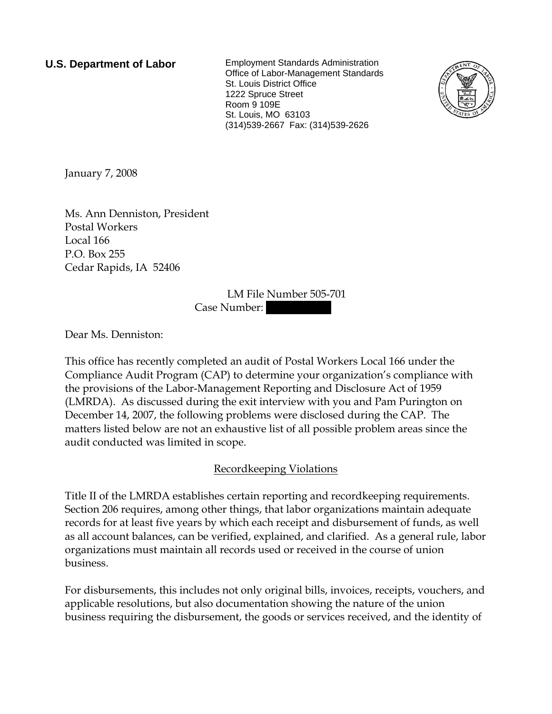**U.S. Department of Labor** Employment Standards Administration Office of Labor-Management Standards St. Louis District Office 1222 Spruce Street Room 9 109E St. Louis, MO 63103 (314)539-2667 Fax: (314)539-2626



January 7, 2008

Ms. Ann Denniston, President Postal Workers Local 166 P.O. Box 255 Cedar Rapids, IA 52406

> LM File Number 505-701 Case Number:

Dear Ms. Denniston:

This office has recently completed an audit of Postal Workers Local 166 under the Compliance Audit Program (CAP) to determine your organization's compliance with the provisions of the Labor-Management Reporting and Disclosure Act of 1959 (LMRDA). As discussed during the exit interview with you and Pam Purington on December 14, 2007, the following problems were disclosed during the CAP. The matters listed below are not an exhaustive list of all possible problem areas since the audit conducted was limited in scope.

## Recordkeeping Violations

Title II of the LMRDA establishes certain reporting and recordkeeping requirements. Section 206 requires, among other things, that labor organizations maintain adequate records for at least five years by which each receipt and disbursement of funds, as well as all account balances, can be verified, explained, and clarified. As a general rule, labor organizations must maintain all records used or received in the course of union business.

For disbursements, this includes not only original bills, invoices, receipts, vouchers, and applicable resolutions, but also documentation showing the nature of the union business requiring the disbursement, the goods or services received, and the identity of